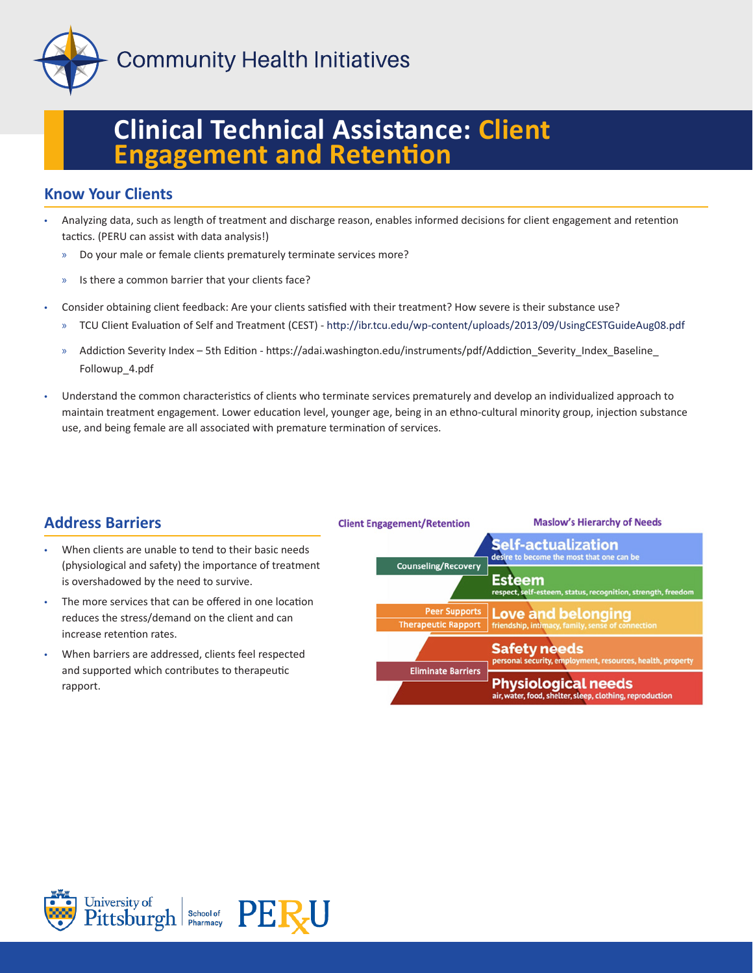

**Community Health Initiatives** 

# **Clinical Technical Assistance: Client Engagement and Retention**

## **Know Your Clients**

- Analyzing data, such as length of treatment and discharge reason, enables informed decisions for client engagement and retention tactics. (PERU can assist with data analysis!)
	- » Do your male or female clients prematurely terminate services more?
	- » Is there a common barrier that your clients face?
- Consider obtaining client feedback: Are your clients satisfied with their treatment? How severe is their substance use?
	- » TCU Client Evaluation of Self and Treatment (CEST) http://ibr.tcu.edu/wp-content/uploads/2013/09/UsingCESTGuideAug08.pdf
	- » Addiction Severity Index 5th Edition https://adai.washington.edu/instruments/pdf/Addiction\_Severity\_Index\_Baseline\_ Followup\_4.pdf
- Understand the common characteristics of clients who terminate services prematurely and develop an individualized approach to maintain treatment engagement. Lower education level, younger age, being in an ethno-cultural minority group, injection substance use, and being female are all associated with premature termination of services.

### **Address Barriers**

- When clients are unable to tend to their basic needs (physiological and safety) the importance of treatment is overshadowed by the need to survive.
- The more services that can be offered in one location reduces the stress/demand on the client and can increase retention rates.
- When barriers are addressed, clients feel respected and supported which contributes to therapeutic rapport.

|                                                    | <b>Physiological needs</b><br>air, water, food, shelter, sleep, clothing, reproduction |
|----------------------------------------------------|----------------------------------------------------------------------------------------|
| <b>Eliminate Barriers</b>                          | <b>Safety needs</b><br>personal security, employment, resources, health, property      |
| <b>Peer Supports</b><br><b>Therapeutic Rapport</b> | <b>Love and belonging</b><br>friendship, intimacy, family, sense of connection         |
| <b>Counseling/Recovery</b>                         | <b>Esteem</b><br>respect, self-esteem, status, recognition, strength, freedom          |
|                                                    | <b>Self-actualization</b><br>desire to become the most that one can be                 |
| <b>Client Engagement/Retention</b>                 | <b>Maslow's Hierarchy of Needs</b>                                                     |